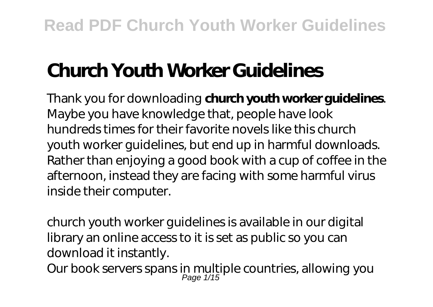# **Church Youth Worker Guidelines**

Thank you for downloading **church youth worker guidelines**. Maybe you have knowledge that, people have look hundreds times for their favorite novels like this church youth worker guidelines, but end up in harmful downloads. Rather than enjoying a good book with a cup of coffee in the afternoon, instead they are facing with some harmful virus inside their computer.

church youth worker guidelines is available in our digital library an online access to it is set as public so you can download it instantly.

Our book servers spans in multiple countries, allowing you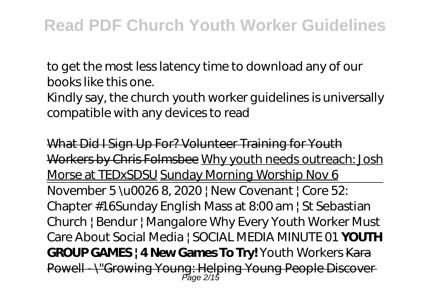to get the most less latency time to download any of our books like this one. Kindly say, the church youth worker guidelines is universally compatible with any devices to read

What Did I Sign Up For? Volunteer Training for Youth Workers by Chris Folmsbee Why youth needs outreach: Josh Morse at TEDxSDSU Sunday Morning Worship Nov 6 November 5 \u0026 8, 2020 | New Covenant | Core 52: Chapter #16*Sunday English Mass at 8:00 am | St Sebastian Church | Bendur | Mangalore Why Every Youth Worker Must Care About Social Media | SOCIAL MEDIA MINUTE 01* **YOUTH GROUP GAMES | 4 New Games To Try!** *Youth Workers* Kara Powell - \"Growing Young: Helping Young People Discover Page 2/15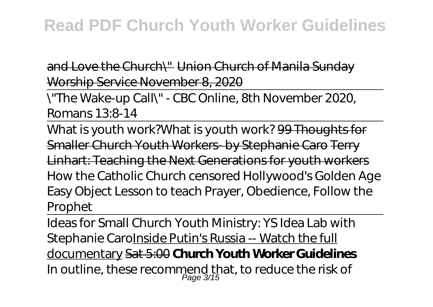## **Read PDF Church Youth Worker Guidelines**

and Love the Church\" Union Church of Manila Sunday Worship Service November 8, 2020

\"The Wake-up Call\" - CBC Online, 8th November 2020, Romans 13:8-14

What is youth work?*What is youth work?* 99 Thoughts for Smaller Church Youth Workers- by Stephanie Caro Terry Linhart: Teaching the Next Generations for youth workers How the Catholic Church censored Hollywood's Golden Age Easy Object Lesson to teach Prayer, Obedience, Follow the Prophet

Ideas for Small Church Youth Ministry: YS Idea Lab with Stephanie CaroInside Putin's Russia -- Watch the full documentary Sat 5:00 **Church Youth Worker Guidelines** In outline, these recommend that, to reduce the risk of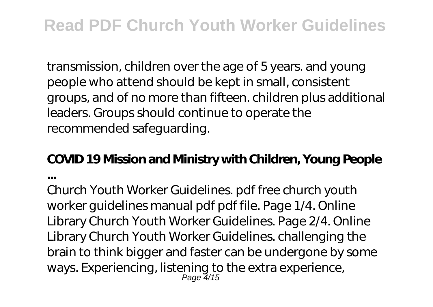transmission, children over the age of 5 years. and young people who attend should be kept in small, consistent groups, and of no more than fifteen. children plus additional leaders. Groups should continue to operate the recommended safeguarding.

#### **COVID 19 Mission and Ministry with Children, Young People**

**...**

Church Youth Worker Guidelines. pdf free church youth worker guidelines manual pdf pdf file. Page 1/4. Online Library Church Youth Worker Guidelines. Page 2/4. Online Library Church Youth Worker Guidelines. challenging the brain to think bigger and faster can be undergone by some ways. Experiencing, listening to the extra experience, Page 4/15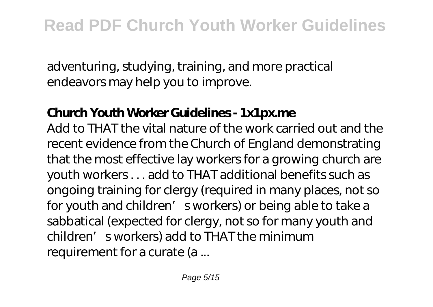adventuring, studying, training, and more practical endeavors may help you to improve.

#### **Church Youth Worker Guidelines - 1x1px.me**

Add to THAT the vital nature of the work carried out and the recent evidence from the Church of England demonstrating that the most effective lay workers for a growing church are youth workers . . . add to THAT additional benefits such as ongoing training for clergy (required in many places, not so for youth and children' sworkers) or being able to take a sabbatical (expected for clergy, not so for many youth and children' sworkers) add to THAT the minimum requirement for a curate (a ...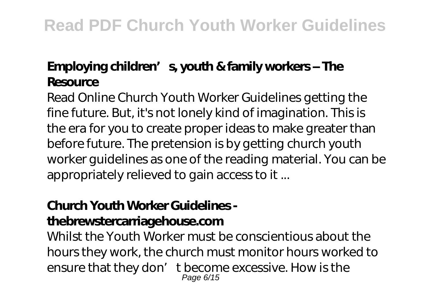## **Employing children's, youth & family workers – The Resource**

Read Online Church Youth Worker Guidelines getting the fine future. But, it's not lonely kind of imagination. This is the era for you to create proper ideas to make greater than before future. The pretension is by getting church youth worker guidelines as one of the reading material. You can be appropriately relieved to gain access to it ...

## **Church Youth Worker Guidelines -**

#### **thebrewstercarriagehouse.com**

Whilst the Youth Worker must be conscientious about the hours they work, the church must monitor hours worked to ensure that they don' t become excessive. How is the Page 6/15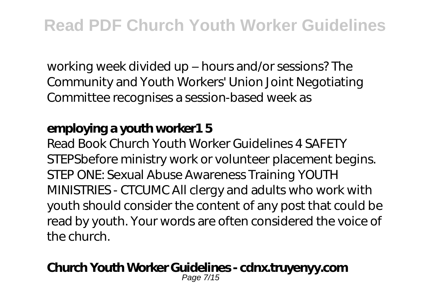working week divided up – hours and/or sessions? The Community and Youth Workers' Union Joint Negotiating Committee recognises a session-based week as

### **employing a youth worker1 5**

Read Book Church Youth Worker Guidelines 4 SAFETY STEPSbefore ministry work or volunteer placement begins. STEP ONE: Sexual Abuse Awareness Training YOUTH MINISTRIES - CTCUMC All clergy and adults who work with youth should consider the content of any post that could be read by youth. Your words are often considered the voice of the church.

#### **Church Youth Worker Guidelines - cdnx.truyenyy.com**

Page 7/15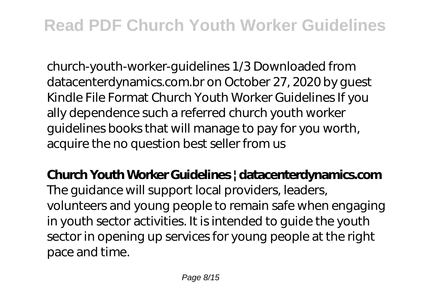## **Read PDF Church Youth Worker Guidelines**

church-youth-worker-guidelines 1/3 Downloaded from datacenterdynamics.com.br on October 27, 2020 by guest Kindle File Format Church Youth Worker Guidelines If you ally dependence such a referred church youth worker guidelines books that will manage to pay for you worth, acquire the no question best seller from us

**Church Youth Worker Guidelines | datacenterdynamics.com** The guidance will support local providers, leaders, volunteers and young people to remain safe when engaging in youth sector activities. It is intended to guide the youth sector in opening up services for young people at the right pace and time.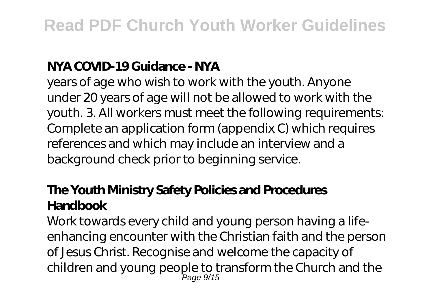#### **NYA COVID-19 Guidance - NYA**

years of age who wish to work with the youth. Anyone under 20 years of age will not be allowed to work with the youth. 3. All workers must meet the following requirements: Complete an application form (appendix C) which requires references and which may include an interview and a background check prior to beginning service.

## **The Youth Ministry Safety Policies and Procedures Handbook**

Work towards every child and young person having a lifeenhancing encounter with the Christian faith and the person of Jesus Christ. Recognise and welcome the capacity of children and young people to transform the Church and the Page 9/15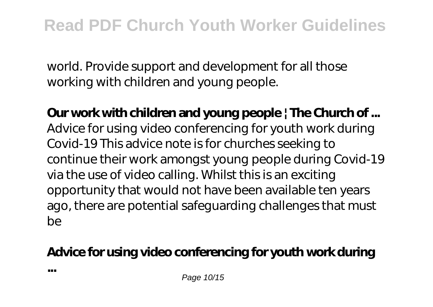world. Provide support and development for all those working with children and young people.

**Our work with children and young people | The Church of ...** Advice for using video conferencing for youth work during Covid-19 This advice note is for churches seeking to continue their work amongst young people during Covid-19 via the use of video calling. Whilst this is an exciting opportunity that would not have been available ten years ago, there are potential safeguarding challenges that must be

## **Advice for using video conferencing for youth work during**

Page 10/15

**...**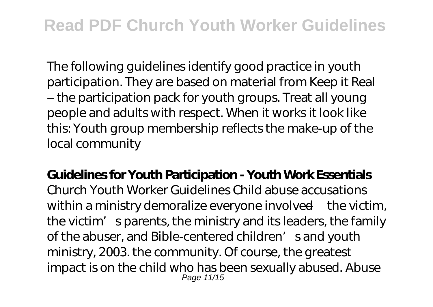## **Read PDF Church Youth Worker Guidelines**

The following guidelines identify good practice in youth participation. They are based on material from Keep it Real – the participation pack for youth groups. Treat all young people and adults with respect. When it works it look like this: Youth group membership reflects the make-up of the local community

**Guidelines for Youth Participation - Youth Work Essentials** Church Youth Worker Guidelines Child abuse accusations within a ministry demoralize everyone involved—the victim, the victim' sparents, the ministry and its leaders, the family of the abuser, and Bible-centered children' s and youth ministry, 2003. the community. Of course, the greatest impact is on the child who has been sexually abused. Abuse Page 11/15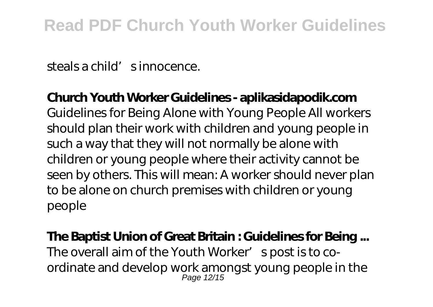steals a child's innocence.

#### **Church Youth Worker Guidelines - aplikasidapodik.com**

Guidelines for Being Alone with Young People All workers should plan their work with children and young people in such a way that they will not normally be alone with children or young people where their activity cannot be seen by others. This will mean: A worker should never plan to be alone on church premises with children or young people

#### **The Baptist Union of Great Britain : Guidelines for Being ...** The overall aim of the Youth Worker' spost is to coordinate and develop work amongst young people in the

Page 12/15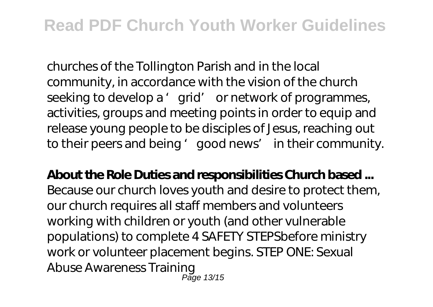churches of the Tollington Parish and in the local community, in accordance with the vision of the church seeking to develop a 'grid' or network of programmes, activities, groups and meeting points in order to equip and release young people to be disciples of Jesus, reaching out to their peers and being 'good news' in their community.

**About the Role Duties and responsibilities Church based ...** Because our church loves youth and desire to protect them, our church requires all staff members and volunteers working with children or youth (and other vulnerable populations) to complete 4 SAFETY STEPSbefore ministry work or volunteer placement begins. STEP ONE: Sexual Abuse Awareness Training Page 13/15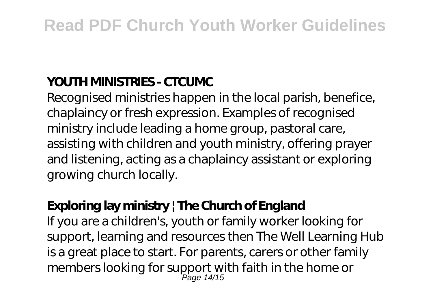### **YOUTH MINISTRIES - CTCUMC**

Recognised ministries happen in the local parish, benefice, chaplaincy or fresh expression. Examples of recognised ministry include leading a home group, pastoral care, assisting with children and youth ministry, offering prayer and listening, acting as a chaplaincy assistant or exploring growing church locally.

### **Exploring lay ministry | The Church of England**

If you are a children's, youth or family worker looking for support, learning and resources then The Well Learning Hub is a great place to start. For parents, carers or other family members looking for support with faith in the home or Page 14/15